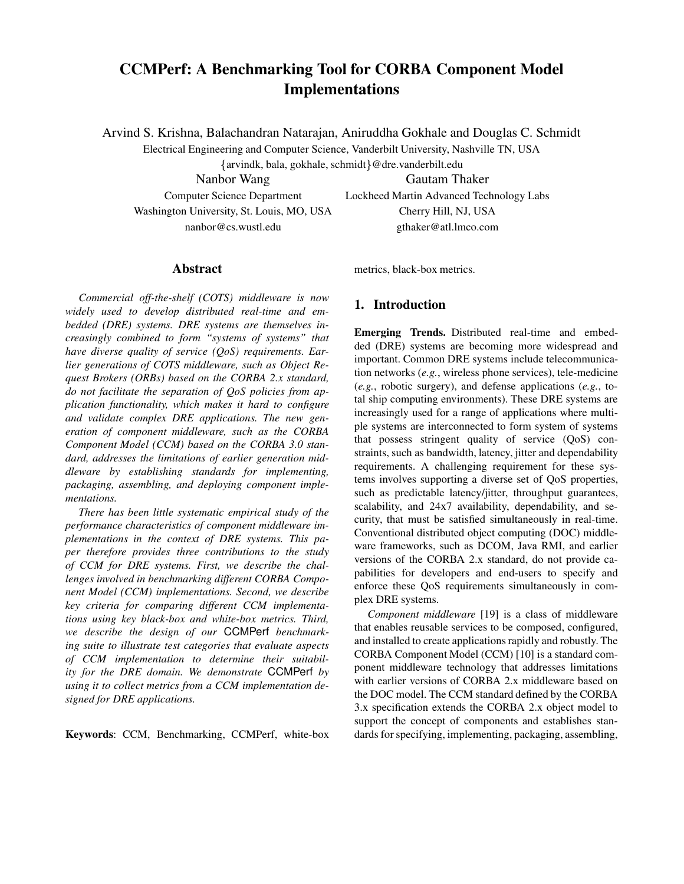# **CCMPerf: A Benchmarking Tool for CORBA Component Model Implementations**

Arvind S. Krishna, Balachandran Natarajan, Aniruddha Gokhale and Douglas C. Schmidt

Electrical Engineering and Computer Science, Vanderbilt University, Nashville TN, USA

arvindk, bala, gokhale, schmidt @dre.vanderbilt.edu

Nanbor Wang Gautam Thaker Washington University, St. Louis, MO, USA Cherry Hill, NJ, USA

Computer Science Department Lockheed Martin Advanced Technology Labs nanbor@cs.wustl.edu gthaker@atl.lmco.com

#### **Abstract**

*Commercial off-the-shelf (COTS) middleware is now widely used to develop distributed real-time and embedded (DRE) systems. DRE systems are themselves increasingly combined to form "systems of systems" that have diverse quality of service (QoS) requirements. Earlier generations of COTS middleware, such as Object Request Brokers (ORBs) based on the CORBA 2.x standard, do not facilitate the separation of QoS policies from application functionality, which makes it hard to configure and validate complex DRE applications. The new generation of component middleware, such as the CORBA Component Model (CCM) based on the CORBA 3.0 standard, addresses the limitations of earlier generation middleware by establishing standards for implementing, packaging, assembling, and deploying component implementations.*

*There has been little systematic empirical study of the performance characteristics of component middleware implementations in the context of DRE systems. This paper therefore provides three contributions to the study of CCM for DRE systems. First, we describe the challenges involved in benchmarking different CORBA Component Model (CCM) implementations. Second, we describe key criteria for comparing different CCM implementations using key black-box and white-box metrics. Third, we describe the design of our* CCMPerf *benchmarking suite to illustrate test categories that evaluate aspects of CCM implementation to determine their suitability for the DRE domain. We demonstrate* CCMPerf *by using it to collect metrics from a CCM implementation designed for DRE applications.*

**Keywords**: CCM, Benchmarking, CCMPerf, white-box

metrics, black-box metrics.

### **1. Introduction**

**Emerging Trends.** Distributed real-time and embedded (DRE) systems are becoming more widespread and important. Common DRE systems include telecommunication networks (*e.g.*, wireless phone services), tele-medicine (*e.g.*, robotic surgery), and defense applications (*e.g.*, total ship computing environments). These DRE systems are increasingly used for a range of applications where multiple systems are interconnected to form system of systems that possess stringent quality of service (QoS) constraints, such as bandwidth, latency, jitter and dependability requirements. A challenging requirement for these systems involves supporting a diverse set of QoS properties, such as predictable latency/jitter, throughput guarantees, scalability, and 24x7 availability, dependability, and security, that must be satisfied simultaneously in real-time. Conventional distributed object computing (DOC) middleware frameworks, such as DCOM, Java RMI, and earlier versions of the CORBA 2.x standard, do not provide capabilities for developers and end-users to specify and enforce these QoS requirements simultaneously in complex DRE systems.

*Component middleware* [19] is a class of middleware that enables reusable services to be composed, configured, and installed to create applications rapidly and robustly. The CORBA Component Model (CCM) [10] is a standard component middleware technology that addresses limitations with earlier versions of CORBA 2.x middleware based on the DOC model. The CCM standard defined by the CORBA 3.x specification extends the CORBA 2.x object model to support the concept of components and establishes standards for specifying, implementing, packaging, assembling,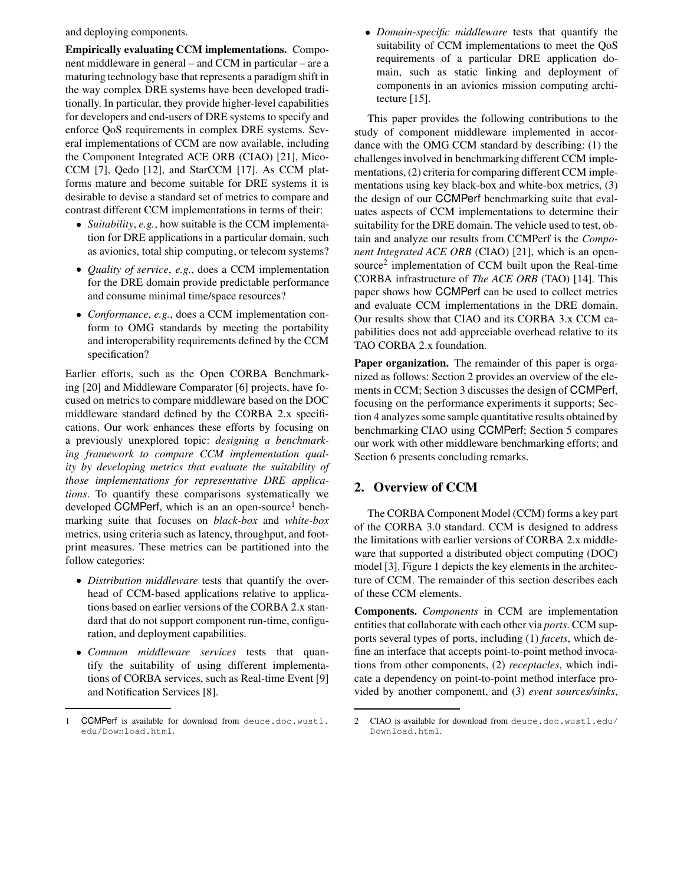and deploying components.

**Empirically evaluating CCM implementations.** Component middleware in general – and CCM in particular – are a maturing technology base that represents a paradigm shift in the way complex DRE systems have been developed traditionally. In particular, they provide higher-level capabilities for developers and end-users of DRE systems to specify and enforce QoS requirements in complex DRE systems. Several implementations of CCM are now available, including the Component Integrated ACE ORB (CIAO) [21], Mico-CCM [7], Qedo [12], and StarCCM [17]. As CCM platforms mature and become suitable for DRE systems it is desirable to devise a standard set of metrics to compare and contrast different CCM implementations in terms of their:

- *Suitability*, *e.g.*, how suitable is the CCM implementation for DRE applications in a particular domain, such as avionics, total ship computing, or telecom systems?
- *Quality of service*, *e.g.*, does a CCM implementation for the DRE domain provide predictable performance and consume minimal time/space resources?
- *Conformance*, *e.g.*, does a CCM implementation conform to OMG standards by meeting the portability and interoperability requirements defined by the CCM specification?

Earlier efforts, such as the Open CORBA Benchmarking [20] and Middleware Comparator [6] projects, have focused on metrics to compare middleware based on the DOC middleware standard defined by the CORBA 2.x specifications. Our work enhances these efforts by focusing on a previously unexplored topic: *designing a benchmarking framework to compare CCM implementation quality by developing metrics that evaluate the suitability of those implementations for representative DRE applications*. To quantify these comparisons systematically we developed CCMPerf, which is an an open-source<sup>1</sup> benchmarking suite that focuses on *black-box* and *white-box* metrics, using criteria such as latency, throughput, and footprint measures. These metrics can be partitioned into the follow categories:

- *Distribution middleware* tests that quantify the overhead of CCM-based applications relative to applications based on earlier versions of the CORBA 2.x standard that do not support component run-time, configuration, and deployment capabilities.
- *Common middleware services* tests that quantify the suitability of using different implementations of CORBA services, such as Real-time Event [9] and Notification Services [8].

- *Domain-specific middleware* tests that quantify the suitability of CCM implementations to meet the QoS requirements of a particular DRE application domain, such as static linking and deployment of components in an avionics mission computing architecture [15].

This paper provides the following contributions to the study of component middleware implemented in accordance with the OMG CCM standard by describing: (1) the challenges involved in benchmarking different CCM implementations, (2) criteria for comparing different CCM implementations using key black-box and white-box metrics, (3) the design of our CCMPerf benchmarking suite that evaluates aspects of CCM implementations to determine their suitability for the DRE domain. The vehicle used to test, obtain and analyze our results from CCMPerf is the *Component Integrated ACE ORB* (CIAO) [21], which is an opensource<sup>2</sup> implementation of CCM built upon the Real-time CORBA infrastructure of *The ACE ORB* (TAO) [14]. This paper shows how CCMPerf can be used to collect metrics and evaluate CCM implementations in the DRE domain. Our results show that CIAO and its CORBA 3.x CCM capabilities does not add appreciable overhead relative to its TAO CORBA 2.x foundation.

**Paper organization.** The remainder of this paper is organized as follows: Section 2 provides an overview of the elements in CCM; Section 3 discusses the design of CCMPerf, focusing on the performance experiments it supports; Section 4 analyzes some sample quantitative results obtained by benchmarking CIAO using CCMPerf; Section 5 compares our work with other middleware benchmarking efforts; and Section 6 presents concluding remarks.

### **2. Overview of CCM**

The CORBA Component Model (CCM) forms a key part of the CORBA 3.0 standard. CCM is designed to address the limitations with earlier versions of CORBA 2.x middleware that supported a distributed object computing (DOC) model [3]. Figure 1 depicts the key elements in the architecture of CCM. The remainder of this section describes each of these CCM elements.

**Components.** *Components* in CCM are implementation entities that collaborate with each other via *ports*. CCM supports several types of ports, including (1) *facets*, which define an interface that accepts point-to-point method invocations from other components, (2) *receptacles*, which indicate a dependency on point-to-point method interface provided by another component, and (3) *event sources/sinks*,

CCMPerf is available for download from deuce.doc.wustl. edu/Download.html.

<sup>2</sup> CIAO is available for download from deuce.doc.wustl.edu/ Download.html.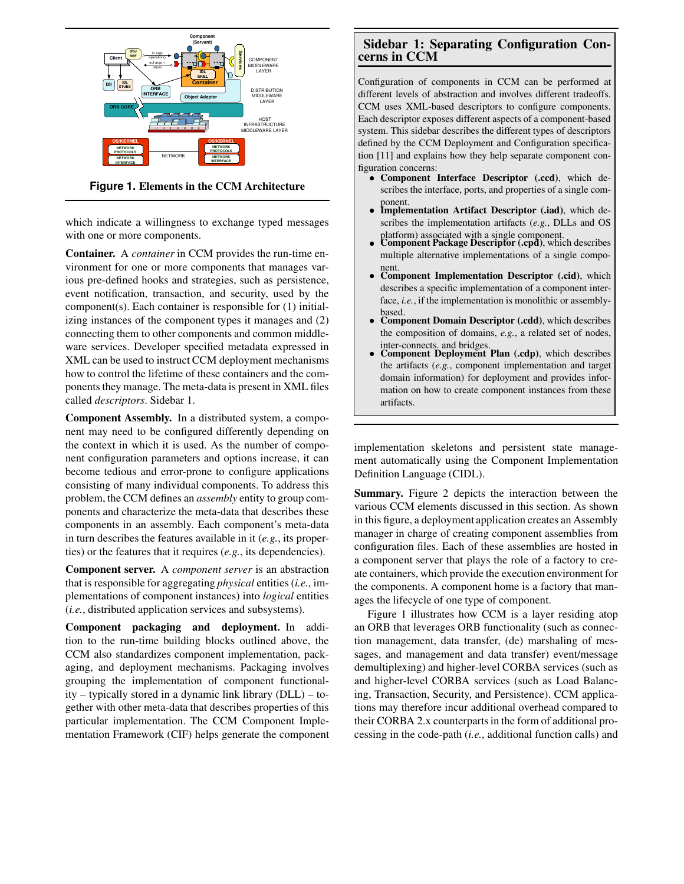

**Figure 1. Elements in the CCM Architecture**

which indicate a willingness to exchange typed messages with one or more components.

**Container.** A *container* in CCM provides the run-time environment for one or more components that manages various pre-defined hooks and strategies, such as persistence, event notification, transaction, and security, used by the component(s). Each container is responsible for (1) initializing instances of the component types it manages and (2) connecting them to other components and common middleware services. Developer specified metadata expressed in XML can be used to instruct CCM deployment mechanisms how to control the lifetime of these containers and the components they manage. The meta-data is present in XML files called *descriptors*. Sidebar 1.

**Component Assembly.** In a distributed system, a component may need to be configured differently depending on the context in which it is used. As the number of component configuration parameters and options increase, it can become tedious and error-prone to configure applications consisting of many individual components. To address this problem, the CCM defines an *assembly* entity to group components and characterize the meta-data that describes these components in an assembly. Each component's meta-data in turn describes the features available in it (*e.g.*, its properties) or the features that it requires (*e.g.*, its dependencies).

**Component server.** A *component server* is an abstraction that is responsible for aggregating *physical* entities (*i.e.*, implementations of component instances) into *logical* entities (*i.e.*, distributed application services and subsystems).

**Component packaging and deployment.** In addition to the run-time building blocks outlined above, the CCM also standardizes component implementation, packaging, and deployment mechanisms. Packaging involves grouping the implementation of component functionality – typically stored in a dynamic link library (DLL) – together with other meta-data that describes properties of this particular implementation. The CCM Component Implementation Framework (CIF) helps generate the component

### **Sidebar 1: Separating Configuration Concerns in CCM**

Configuration of components in CCM can be performed at different levels of abstraction and involves different tradeoffs. CCM uses XML-based descriptors to configure components. Each descriptor exposes different aspects of a component-based system. This sidebar describes the different types of descriptors defined by the CCM Deployment and Configuration specification [11] and explains how they help separate component configuration concerns:

- **Component Interface Descriptor (.ccd)**, which describes the interface, ports, and properties of a single com-
- ponent. **Implementation Artifact Descriptor (.iad)**, which describes the implementation artifacts (*e.g.*, DLLs and OS
- platform) associated with a single component. **Component Package Descriptor (.cpd)**, which describes multiple alternative implementations of a single compo-
- nent. **Component Implementation Descriptor (.cid)**, which describes a specific implementation of a component interface, *i.e.*, if the implementation is monolithic or assemblybased.
- **Component Domain Descriptor (.cdd)**, which describes the composition of domains, *e.g.*, a related set of nodes, inter-connects. and bridges.
- **Component Deployment Plan (.cdp)**, which describes the artifacts (*e.g.*, component implementation and target domain information) for deployment and provides information on how to create component instances from these artifacts.

implementation skeletons and persistent state management automatically using the Component Implementation Definition Language (CIDL).

**Summary.** Figure 2 depicts the interaction between the various CCM elements discussed in this section. As shown in this figure, a deployment application creates an Assembly manager in charge of creating component assemblies from configuration files. Each of these assemblies are hosted in a component server that plays the role of a factory to create containers, which provide the execution environment for the components. A component home is a factory that manages the lifecycle of one type of component.

Figure 1 illustrates how CCM is a layer residing atop an ORB that leverages ORB functionality (such as connection management, data transfer, (de) marshaling of messages, and management and data transfer) event/message demultiplexing) and higher-level CORBA services (such as and higher-level CORBA services (such as Load Balancing, Transaction, Security, and Persistence). CCM applications may therefore incur additional overhead compared to their CORBA 2.x counterpartsin the form of additional processing in the code-path (*i.e.*, additional function calls) and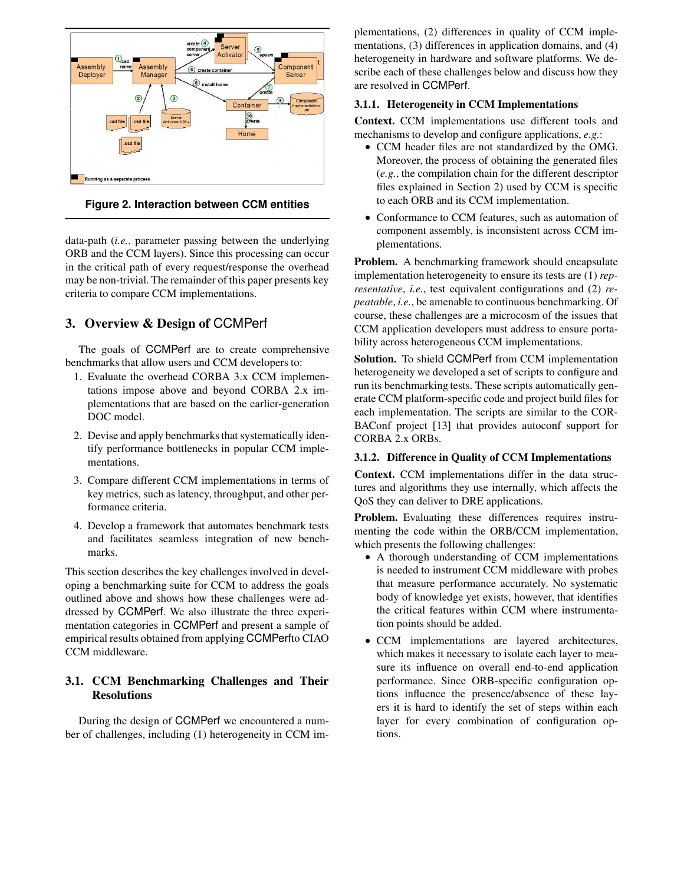

**Figure 2. Interaction between CCM entities**

data-path (*i.e.*, parameter passing between the underlying ORB and the CCM layers). Since this processing can occur in the critical path of every request/response the overhead may be non-trivial. The remainder of this paper presents key criteria to compare CCM implementations.

# **3. Overview & Design of** CCMPerf

The goals of CCMPerf are to create comprehensive benchmarks that allow users and CCM developers to:

- 1. Evaluate the overhead CORBA 3.x CCM implementations impose above and beyond CORBA 2.x implementations that are based on the earlier-generation DOC model.
- 2. Devise and apply benchmarks that systematically identify performance bottlenecks in popular CCM implementations.
- 3. Compare different CCM implementations in terms of key metrics, such as latency, throughput, and other performance criteria.
- 4. Develop a framework that automates benchmark tests and facilitates seamless integration of new benchmarks.

This section describes the key challenges involved in developing a benchmarking suite for CCM to address the goals outlined above and shows how these challenges were addressed by CCMPerf. We also illustrate the three experimentation categories in CCMPerf and present a sample of empirical results obtained from applying CCMPerfto CIAO CCM middleware.

### **3.1. CCM Benchmarking Challenges and Their Resolutions**

During the design of CCMPerf we encountered a number of challenges, including (1) heterogeneity in CCM implementations, (2) differences in quality of CCM implementations, (3) differences in application domains, and (4) heterogeneity in hardware and software platforms. We describe each of these challenges below and discuss how they are resolved in CCMPerf.

### **3.1.1. Heterogeneity in CCM Implementations**

**Context.** CCM implementations use different tools and mechanisms to develop and configure applications, *e.g.*:

- CCM header files are not standardized by the OMG. Moreover, the process of obtaining the generated files (*e.g.*, the compilation chain for the different descriptor files explained in Section 2) used by CCM is specific to each ORB and its CCM implementation.
- Conformance to CCM features, such as automation of component assembly, is inconsistent across CCM implementations.

**Problem.** A benchmarking framework should encapsulate implementation heterogeneity to ensure its tests are (1) *representative*, *i.e.*, test equivalent configurations and (2) *repeatable*, *i.e.*, be amenable to continuous benchmarking. Of course, these challenges are a microcosm of the issues that CCM application developers must address to ensure portability across heterogeneous CCM implementations.

**Solution.** To shield CCMPerf from CCM implementation heterogeneity we developed a set of scripts to configure and run its benchmarking tests. These scripts automatically generate CCM platform-specific code and project build files for each implementation. The scripts are similar to the COR-BAConf project [13] that provides autoconf support for CORBA 2.x ORBs.

#### **3.1.2. Difference in Quality of CCM Implementations**

**Context.** CCM implementations differ in the data structures and algorithms they use internally, which affects the QoS they can deliver to DRE applications.

**Problem.** Evaluating these differences requires instrumenting the code within the ORB/CCM implementation, which presents the following challenges:

- A thorough understanding of CCM implementations is needed to instrument CCM middleware with probes that measure performance accurately. No systematic body of knowledge yet exists, however, that identifies the critical features within CCM where instrumentation points should be added.
- CCM implementations are layered architectures, which makes it necessary to isolate each layer to measure its influence on overall end-to-end application performance. Since ORB-specific configuration options influence the presence/absence of these layers it is hard to identify the set of steps within each layer for every combination of configuration options.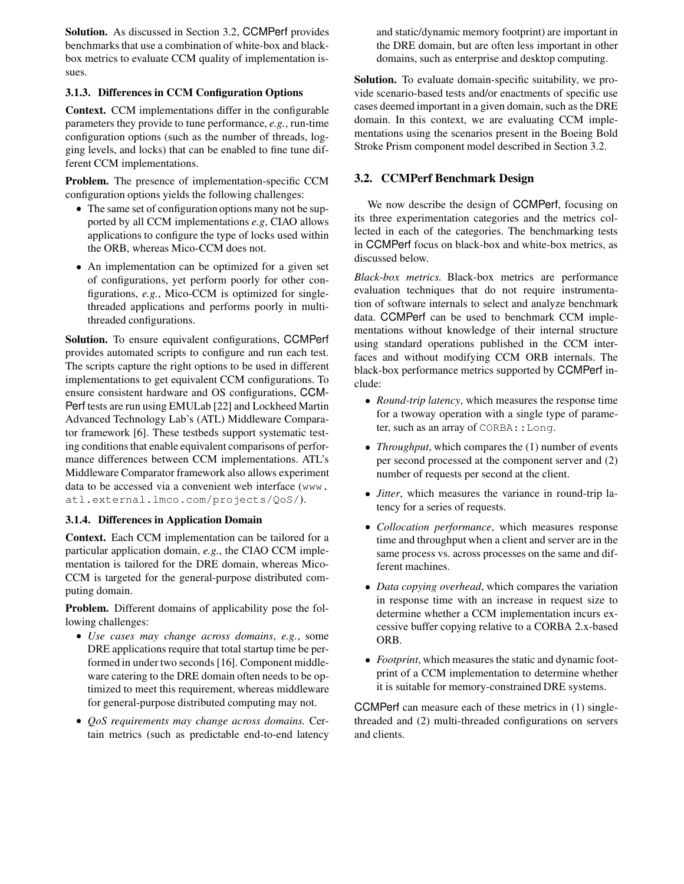**Solution.** As discussed in Section 3.2, CCMPerf provides benchmarks that use a combination of white-box and blackbox metrics to evaluate CCM quality of implementation issues.

### **3.1.3. Differences in CCM Configuration Options**

**Context.** CCM implementations differ in the configurable parameters they provide to tune performance, *e.g.*, run-time configuration options (such as the number of threads, logging levels, and locks) that can be enabled to fine tune different CCM implementations.

**Problem.** The presence of implementation-specific CCM configuration options yields the following challenges:

- The same set of configuration options many not be supported by all CCM implementations *e.g*, CIAO allows applications to configure the type of locks used within the ORB, whereas Mico-CCM does not.
- An implementation can be optimized for a given set of configurations, yet perform poorly for other configurations, *e.g.*, Mico-CCM is optimized for singlethreaded applications and performs poorly in multithreaded configurations.

**Solution.** To ensure equivalent configurations, CCMPerf provides automated scripts to configure and run each test. The scripts capture the right options to be used in different implementations to get equivalent CCM configurations. To ensure consistent hardware and OS configurations, CCM-Perf tests are run using EMULab [22] and Lockheed Martin Advanced Technology Lab's (ATL) Middleware Comparator framework [6]. These testbeds support systematic testing conditions that enable equivalent comparisons of performance differences between CCM implementations. ATL's Middleware Comparator framework also allows experiment data to be accessed via a convenient web interface (www. atl.external.lmco.com/projects/QoS/).

### **3.1.4. Differences in Application Domain**

**Context.** Each CCM implementation can be tailored for a particular application domain, *e.g.*, the CIAO CCM implementation is tailored for the DRE domain, whereas Mico-CCM is targeted for the general-purpose distributed computing domain.

**Problem.** Different domains of applicability pose the following challenges:

- *Use cases may change across domains*, *e.g.*, some DRE applications require that total startup time be performed in under two seconds [16]. Component middleware catering to the DRE domain often needs to be optimized to meet this requirement, whereas middleware for general-purpose distributed computing may not.
- *QoS requirements may change across domains.* Certain metrics (such as predictable end-to-end latency

and static/dynamic memory footprint) are important in the DRE domain, but are often less important in other domains, such as enterprise and desktop computing.

**Solution.** To evaluate domain-specific suitability, we provide scenario-based tests and/or enactments of specific use cases deemed important in a given domain, such as the DRE domain. In this context, we are evaluating CCM implementations using the scenarios present in the Boeing Bold Stroke Prism component model described in Section 3.2.

## **3.2. CCMPerf Benchmark Design**

We now describe the design of CCMPerf, focusing on its three experimentation categories and the metrics collected in each of the categories. The benchmarking tests in CCMPerf focus on black-box and white-box metrics, as discussed below.

*Black-box metrics.* Black-box metrics are performance evaluation techniques that do not require instrumentation of software internals to select and analyze benchmark data. CCMPerf can be used to benchmark CCM implementations without knowledge of their internal structure using standard operations published in the CCM interfaces and without modifying CCM ORB internals. The black-box performance metrics supported by CCMPerf include:

- *Round-trip latency*, which measures the response time for a twoway operation with a single type of parameter, such as an array of CORBA:: Long.
- *Throughput*, which compares the (1) number of events per second processed at the component server and (2) number of requests per second at the client.
- *Jitter*, which measures the variance in round-trip latency for a series of requests.
- *Collocation performance*, which measures response time and throughput when a client and server are in the same process vs. across processes on the same and different machines.
- *Data copying overhead*, which compares the variation in response time with an increase in request size to determine whether a CCM implementation incurs excessive buffer copying relative to a CORBA 2.x-based ORB.
- *Footprint*, which measures the static and dynamic footprint of a CCM implementation to determine whether it is suitable for memory-constrained DRE systems.

CCMPerf can measure each of these metrics in (1) singlethreaded and (2) multi-threaded configurations on servers and clients.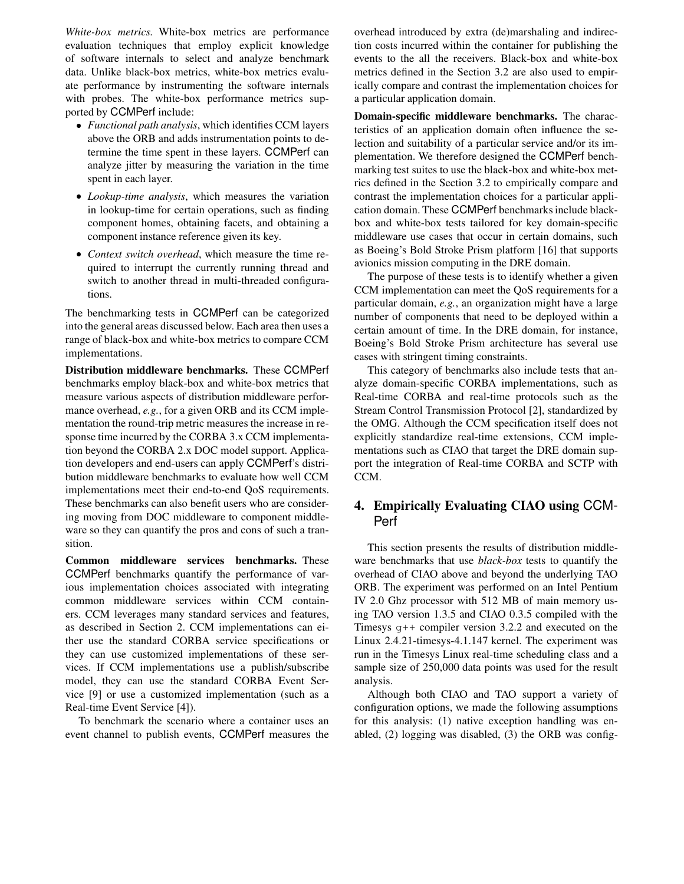*White-box metrics.* White-box metrics are performance evaluation techniques that employ explicit knowledge of software internals to select and analyze benchmark data. Unlike black-box metrics, white-box metrics evaluate performance by instrumenting the software internals with probes. The white-box performance metrics supported by CCMPerf include:

- *Functional path analysis*, which identifies CCM layers above the ORB and adds instrumentation points to determine the time spent in these layers. CCMPerf can analyze jitter by measuring the variation in the time spent in each layer.
- *Lookup-time analysis*, which measures the variation in lookup-time for certain operations, such as finding component homes, obtaining facets, and obtaining a component instance reference given its key.
- *Context switch overhead*, which measure the time required to interrupt the currently running thread and switch to another thread in multi-threaded configurations.

The benchmarking tests in CCMPerf can be categorized into the general areas discussed below. Each area then uses a range of black-box and white-box metrics to compare CCM implementations.

**Distribution middleware benchmarks.** These CCMPerf benchmarks employ black-box and white-box metrics that measure various aspects of distribution middleware performance overhead, *e.g.*, for a given ORB and its CCM implementation the round-trip metric measures the increase in response time incurred by the CORBA 3.x CCM implementation beyond the CORBA 2.x DOC model support. Application developers and end-users can apply CCMPerf's distribution middleware benchmarks to evaluate how well CCM implementations meet their end-to-end QoS requirements. These benchmarks can also benefit users who are considering moving from DOC middleware to component middleware so they can quantify the pros and cons of such a transition.

**Common middleware services benchmarks.** These CCMPerf benchmarks quantify the performance of various implementation choices associated with integrating common middleware services within CCM containers. CCM leverages many standard services and features, as described in Section 2. CCM implementations can either use the standard CORBA service specifications or they can use customized implementations of these services. If CCM implementations use a publish/subscribe model, they can use the standard CORBA Event Service [9] or use a customized implementation (such as a Real-time Event Service [4]).

To benchmark the scenario where a container uses an event channel to publish events, CCMPerf measures the overhead introduced by extra (de)marshaling and indirection costs incurred within the container for publishing the events to the all the receivers. Black-box and white-box metrics defined in the Section 3.2 are also used to empirically compare and contrast the implementation choices for a particular application domain.

**Domain-specific middleware benchmarks.** The characteristics of an application domain often influence the selection and suitability of a particular service and/or its implementation. We therefore designed the CCMPerf benchmarking test suites to use the black-box and white-box metrics defined in the Section 3.2 to empirically compare and contrast the implementation choices for a particular application domain. These CCMPerf benchmarksinclude blackbox and white-box tests tailored for key domain-specific middleware use cases that occur in certain domains, such as Boeing's Bold Stroke Prism platform [16] that supports avionics mission computing in the DRE domain.

The purpose of these tests is to identify whether a given CCM implementation can meet the QoS requirements for a particular domain, *e.g.*, an organization might have a large number of components that need to be deployed within a certain amount of time. In the DRE domain, for instance, Boeing's Bold Stroke Prism architecture has several use cases with stringent timing constraints.

This category of benchmarks also include tests that analyze domain-specific CORBA implementations, such as Real-time CORBA and real-time protocols such as the Stream Control Transmission Protocol [2], standardized by the OMG. Although the CCM specification itself does not explicitly standardize real-time extensions, CCM implementations such as CIAO that target the DRE domain support the integration of Real-time CORBA and SCTP with CCM.

### **4. Empirically Evaluating CIAO using** CCM-Perf

This section presents the results of distribution middleware benchmarks that use *black-box* tests to quantify the overhead of CIAO above and beyond the underlying TAO ORB. The experiment was performed on an Intel Pentium IV 2.0 Ghz processor with 512 MB of main memory using TAO version 1.3.5 and CIAO 0.3.5 compiled with the Timesys  $q++$  compiler version 3.2.2 and executed on the Linux 2.4.21-timesys-4.1.147 kernel. The experiment was run in the Timesys Linux real-time scheduling class and a sample size of 250,000 data points was used for the result analysis.

Although both CIAO and TAO support a variety of configuration options, we made the following assumptions for this analysis: (1) native exception handling was enabled, (2) logging was disabled, (3) the ORB was config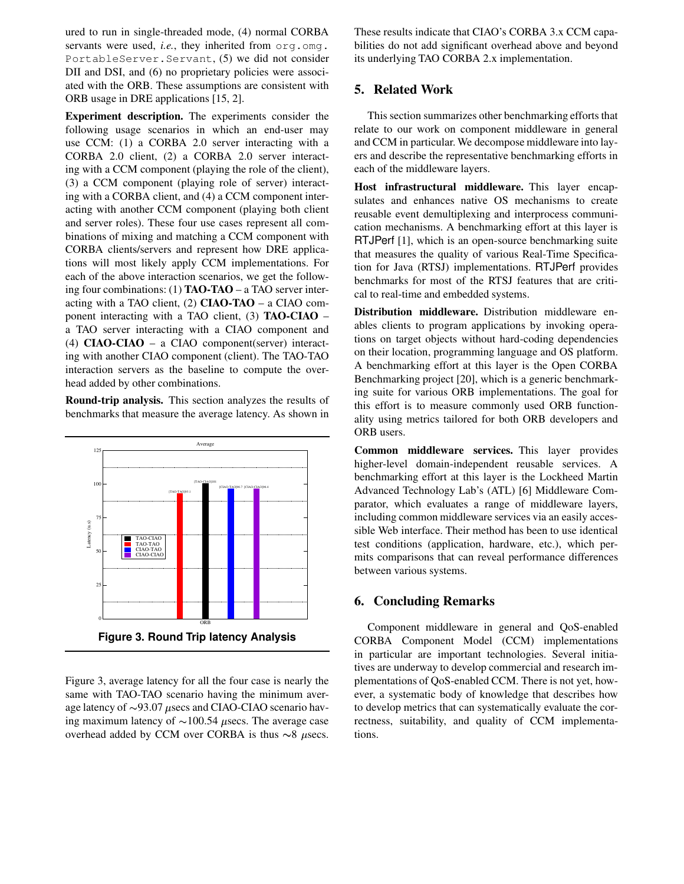ured to run in single-threaded mode, (4) normal CORBA servants were used, *i.e.*, they inherited from org.omg. PortableServer.Servant, (5) we did not consider DII and DSI, and (6) no proprietary policies were associated with the ORB. These assumptions are consistent with ORB usage in DRE applications [15, 2].

**Experiment description.** The experiments consider the following usage scenarios in which an end-user may use CCM: (1) a CORBA 2.0 server interacting with a CORBA 2.0 client, (2) a CORBA 2.0 server interacting with a CCM component (playing the role of the client), (3) a CCM component (playing role of server) interacting with a CORBA client, and (4) a CCM component interacting with another CCM component (playing both client and server roles). These four use cases represent all combinations of mixing and matching a CCM component with CORBA clients/servers and represent how DRE applications will most likely apply CCM implementations. For each of the above interaction scenarios, we get the following four combinations: (1) **TAO-TAO** – a TAO server interacting with a TAO client, (2) **CIAO-TAO** – a CIAO component interacting with a TAO client, (3) **TAO-CIAO** – a TAO server interacting with a CIAO component and (4) **CIAO-CIAO** – a CIAO component(server) interacting with another CIAO component (client). The TAO-TAO interaction servers as the baseline to compute the overhead added by other combinations.

**Round-trip analysis.** This section analyzes the results of benchmarks that measure the average latency. As shown in



Figure 3, average latency for all the four case is nearly the same with TAO-TAO scenario having the minimum average latency of  $\sim$ 93.07  $\mu$ secs and CIAO-CIAO scenario having maximum latency of  $\sim$  100.54  $\mu$ secs. The average case overhead added by CCM over CORBA is thus  $\sim$ 8  $\mu$ secs.

These results indicate that CIAO's CORBA 3.x CCM capabilities do not add significant overhead above and beyond its underlying TAO CORBA 2.x implementation.

### **5. Related Work**

This section summarizes other benchmarking efforts that relate to our work on component middleware in general and CCM in particular. We decompose middleware into layers and describe the representative benchmarking efforts in each of the middleware layers.

**Host infrastructural middleware.** This layer encapsulates and enhances native OS mechanisms to create reusable event demultiplexing and interprocess communication mechanisms. A benchmarking effort at this layer is RTJPerf [1], which is an open-source benchmarking suite that measures the quality of various Real-Time Specification for Java (RTSJ) implementations. RTJPerf provides benchmarks for most of the RTSJ features that are critical to real-time and embedded systems.

**Distribution middleware.** Distribution middleware enables clients to program applications by invoking operations on target objects without hard-coding dependencies on their location, programming language and OS platform. A benchmarking effort at this layer is the Open CORBA Benchmarking project [20], which is a generic benchmarking suite for various ORB implementations. The goal for this effort is to measure commonly used ORB functionality using metrics tailored for both ORB developers and ORB users.

**Common middleware services.** This layer provides higher-level domain-independent reusable services. A benchmarking effort at this layer is the Lockheed Martin Advanced Technology Lab's (ATL) [6] Middleware Comparator, which evaluates a range of middleware layers, including common middleware services via an easily accessible Web interface. Their method has been to use identical test conditions (application, hardware, etc.), which permits comparisons that can reveal performance differences between various systems.

### **6. Concluding Remarks**

Component middleware in general and QoS-enabled CORBA Component Model (CCM) implementations in particular are important technologies. Several initiatives are underway to develop commercial and research implementations of QoS-enabled CCM. There is not yet, however, a systematic body of knowledge that describes how to develop metrics that can systematically evaluate the correctness, suitability, and quality of CCM implementations.